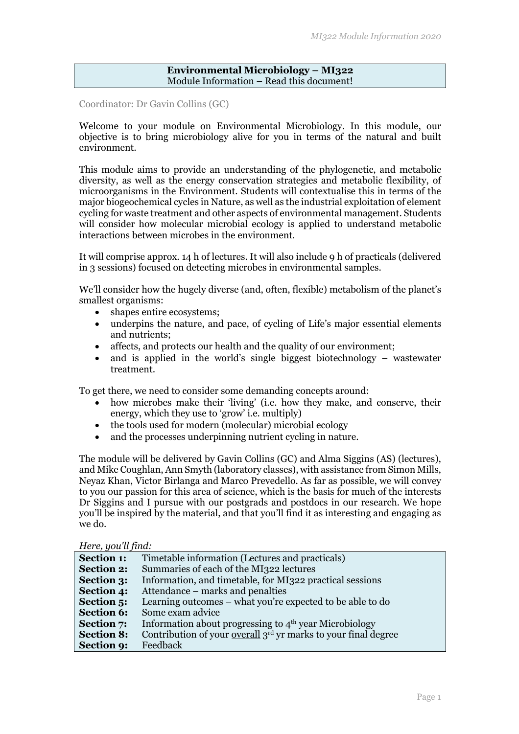### **Environmental Microbiology – MI322** Module Information – Read this document!

Coordinator: Dr Gavin Collins (GC)

Welcome to your module on Environmental Microbiology. In this module, our objective is to bring microbiology alive for you in terms of the natural and built environment.

This module aims to provide an understanding of the phylogenetic, and metabolic diversity, as well as the energy conservation strategies and metabolic flexibility, of microorganisms in the Environment. Students will contextualise this in terms of the major biogeochemical cycles in Nature, as well as the industrial exploitation of element cycling for waste treatment and other aspects of environmental management. Students will consider how molecular microbial ecology is applied to understand metabolic interactions between microbes in the environment.

It will comprise approx. 14 h of lectures. It will also include 9 h of practicals (delivered in 3 sessions) focused on detecting microbes in environmental samples.

We'll consider how the hugely diverse (and, often, flexible) metabolism of the planet's smallest organisms:

- shapes entire ecosystems:
- underpins the nature, and pace, of cycling of Life's major essential elements and nutrients;
- affects, and protects our health and the quality of our environment;
- and is applied in the world's single biggest biotechnology wastewater treatment.

To get there, we need to consider some demanding concepts around:

- how microbes make their 'living' (i.e. how they make, and conserve, their energy, which they use to 'grow' i.e. multiply)
- the tools used for modern (molecular) microbial ecology
- and the processes underpinning nutrient cycling in nature.

The module will be delivered by Gavin Collins (GC) and Alma Siggins (AS) (lectures), and Mike Coughlan, Ann Smyth (laboratory classes), with assistance from Simon Mills, Neyaz Khan, Victor Birlanga and Marco Prevedello. As far as possible, we will convey to you our passion for this area of science, which is the basis for much of the interests Dr Siggins and I pursue with our postgrads and postdocs in our research. We hope you'll be inspired by the material, and that you'll find it as interesting and engaging as we do.

### *Here, you'll find:*

| <b>Section 1:</b> | Timetable information (Lectures and practicals)                    |
|-------------------|--------------------------------------------------------------------|
| <b>Section 2:</b> | Summaries of each of the MI322 lectures                            |
| <b>Section 3:</b> | Information, and timetable, for MI322 practical sessions           |
| Section 4:        | Attendance – marks and penalties                                   |
| Section 5:        | Learning outcomes – what you're expected to be able to do          |
| <b>Section 6:</b> | Some exam advice                                                   |
| <b>Section 7:</b> | Information about progressing to 4 <sup>th</sup> year Microbiology |
| <b>Section 8:</b> | Contribution of your overall $3rd$ yr marks to your final degree   |
| Section 9:        | Feedback                                                           |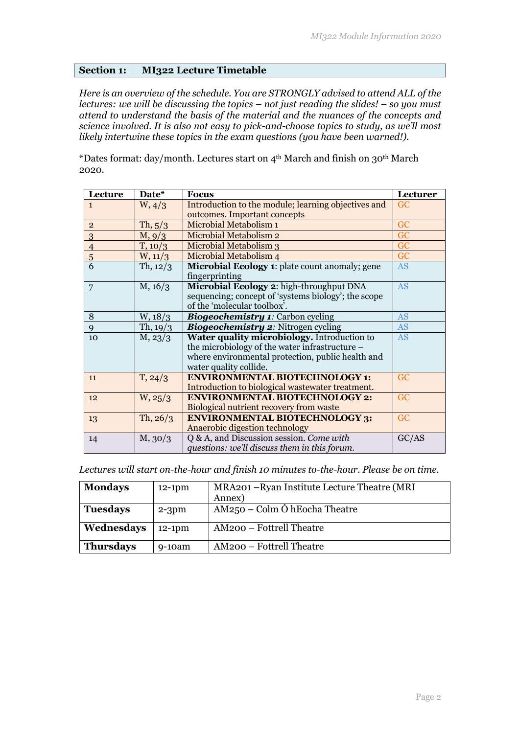### **Section 1: MI322 Lecture Timetable**

*Here is an overview of the schedule. You are STRONGLY advised to attend ALL of the lectures: we will be discussing the topics – not just reading the slides! – so you must attend to understand the basis of the material and the nuances of the concepts and science involved. It is also not easy to pick-and-choose topics to study, as we'll most likely intertwine these topics in the exam questions (you have been warned!).*

\*Dates format: day/month. Lectures start on 4th March and finish on 30th March 2020.

| Lecture        | Date*       | <b>Focus</b>                                          | Lecturer  |
|----------------|-------------|-------------------------------------------------------|-----------|
| $\mathbf{1}$   | W, 4/3      | Introduction to the module; learning objectives and   | GC        |
|                |             | outcomes. Important concepts                          |           |
| $\overline{2}$ | Th, 5/3     | Microbial Metabolism 1                                | GC        |
| 3              | $M$ , $9/3$ | Microbial Metabolism 2                                | GC        |
| $\overline{4}$ | T, 10/3     | Microbial Metabolism 3                                | GC        |
| $\overline{5}$ | W, 11/3     | Microbial Metabolism 4                                | GC        |
| 6              | Th, $12/3$  | <b>Microbial Ecology 1: plate count anomaly; gene</b> | <b>AS</b> |
|                |             | fingerprinting                                        |           |
| 7              | M, 16/3     | Microbial Ecology 2: high-throughput DNA              | <b>AS</b> |
|                |             | sequencing; concept of 'systems biology'; the scope   |           |
|                |             | of the 'molecular toolbox'.                           |           |
| 8              | W, 18/3     | <b>Biogeochemistry 1: Carbon cycling</b>              | <b>AS</b> |
| 9              | Th, $19/3$  | <b>Biogeochemistry 2: Nitrogen cycling</b>            | <b>AS</b> |
| 10             | M, 23/3     | Water quality microbiology. Introduction to           | <b>AS</b> |
|                |             | the microbiology of the water infrastructure –        |           |
|                |             | where environmental protection, public health and     |           |
|                |             | water quality collide.                                |           |
| 11             | T, 24/3     | <b>ENVIRONMENTAL BIOTECHNOLOGY 1:</b>                 | GC        |
|                |             | Introduction to biological wastewater treatment.      |           |
| 12             | W, 25/3     | <b>ENVIRONMENTAL BIOTECHNOLOGY 2:</b>                 | GC        |
|                |             | Biological nutrient recovery from waste               |           |
| 13             | Th, $26/3$  | <b>ENVIRONMENTAL BIOTECHNOLOGY 3:</b>                 | GC        |
|                |             | Anaerobic digestion technology                        |           |
| 14             | $M$ , 30/3  | Q & A, and Discussion session. Come with              | GC/AS     |
|                |             | questions: we'll discuss them in this forum.          |           |

*Lectures will start on-the-hour and finish 10 minutes to-the-hour. Please be on time.*

| <b>Mondays</b>   | $12-1$ pm | MRA201 – Ryan Institute Lecture Theatre (MRI<br>Annex) |
|------------------|-----------|--------------------------------------------------------|
| <b>Tuesdays</b>  | $2-3$ pm  | $AM250 - Colm \acute{o}$ hEocha Theatre                |
| Wednesdays       | $12-1$ pm | AM200 - Fottrell Theatre                               |
| <b>Thursdays</b> | $9-10am$  | AM200 – Fottrell Theatre                               |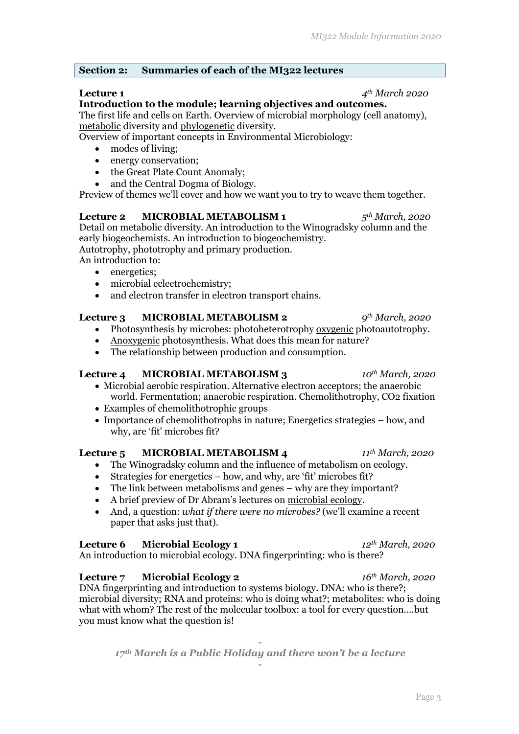### **Section 2: Summaries of each of the MI322 lectures**

**Lecture 1** *4th March 2020*

**Introduction to the module; learning objectives and outcomes.**  The first life and cells on Earth. Overview of microbial morphology (cell anatomy), metabolic diversity and phylogenetic diversity.

Overview of important concepts in Environmental Microbiology:

- modes of living:
- energy conservation:
- the Great Plate Count Anomaly:
- and the Central Dogma of Biology.

Preview of themes we'll cover and how we want you to try to weave them together.

**Lecture 2 MICROBIAL METABOLISM 1** *5th March, 2020* Detail on metabolic diversity. An introduction to the Winogradsky column and the early biogeochemists. An introduction to biogeochemistry.

Autotrophy, phototrophy and primary production.

An introduction to:

- energetics:
- microbial eclectrochemistry;
- and electron transfer in electron transport chains.

# **Lecture 3 MICROBIAL METABOLISM 2** *9th March, 2020*

- Photosynthesis by microbes: photoheterotrophy oxygenic photoautotrophy.
- Anoxygenic photosynthesis. What does this mean for nature?
- The relationship between production and consumption.

### **Lecture 4 MICROBIAL METABOLISM 3** *10th March, 2020*

- Microbial aerobic respiration. Alternative electron acceptors; the anaerobic world. Fermentation; anaerobic respiration. Chemolithotrophy, CO2 fixation
- Examples of chemolithotrophic groups
- Importance of chemolithotrophs in nature; Energetics strategies how, and why, are 'fit' microbes fit?

### **Lecture 5 MICROBIAL METABOLISM 4** *11th March, 2020*

- The Winogradsky column and the influence of metabolism on ecology.
- Strategies for energetics how, and why, are 'fit' microbes fit?
- The link between metabolisms and genes why are they important?
- A brief preview of Dr Abram's lectures on microbial ecology.
- And, a question: *what if there were no microbes?* (we'll examine a recent paper that asks just that).

### **Lecture 6 Microbial Ecology 1** *12th March, 2020*

An introduction to microbial ecology. DNA fingerprinting: who is there?

### **Lecture 7 Microbial Ecology 2** *16th March, 2020*

DNA fingerprinting and introduction to systems biology. DNA: who is there?; microbial diversity; RNA and proteins: who is doing what?; metabolites: who is doing what with whom? The rest of the molecular toolbox: a tool for every question….but you must know what the question is!

**-** *17th March is a Public Holiday and there won't be a lecture* **-**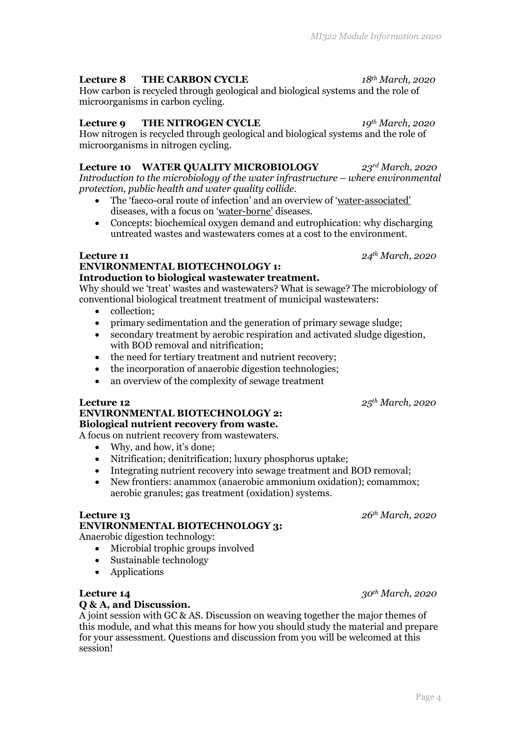### **Lecture 8 THE CARBON CYCLE** *18th March, 2020*

How carbon is recycled through geological and biological systems and the role of microorganisms in carbon cycling.

### **Lecture 9 THE NITROGEN CYCLE** *19th March, 2020*

How nitrogen is recycled through geological and biological systems and the role of microorganisms in nitrogen cycling.

## **Lecture 10 WATER QUALITY MICROBIOLOGY** *23rd March, 2020*

*Introduction to the microbiology of the water infrastructure – where environmental protection, public health and water quality collide.*

- The 'faeco-oral route of infection' and an overview of 'water-associated' diseases, with a focus on 'water-borne' diseases.
- Concepts: biochemical oxygen demand and eutrophication: why discharging untreated wastes and wastewaters comes at a cost to the environment.

### **ENVIRONMENTAL BIOTECHNOLOGY 1: Introduction to biological wastewater treatment.**

Why should we 'treat' wastes and wastewaters? What is sewage? The microbiology of conventional biological treatment treatment of municipal wastewaters:

- collection:
- primary sedimentation and the generation of primary sewage sludge;
- secondary treatment by aerobic respiration and activated sludge digestion, with BOD removal and nitrification;
- the need for tertiary treatment and nutrient recovery;
- the incorporation of anaerobic digestion technologies;
- an overview of the complexity of sewage treatment

### **Lecture 12** *25th March, 2020*

### **ENVIRONMENTAL BIOTECHNOLOGY 2: Biological nutrient recovery from waste.**

A focus on nutrient recovery from wastewaters.

- Why, and how, it's done;
- Nitrification; denitrification; luxury phosphorus uptake;
- Integrating nutrient recovery into sewage treatment and BOD removal;
- New frontiers: anammox (anaerobic ammonium oxidation); comammox; aerobic granules; gas treatment (oxidation) systems.

### **Lecture 13** *26th March, 2020*

# **ENVIRONMENTAL BIOTECHNOLOGY 3:**

Anaerobic digestion technology:

- Microbial trophic groups involved
- Sustainable technology
- Applications

### **Lecture 14** *30th March, 2020*

## **Q & A, and Discussion.**

A joint session with GC & AS. Discussion on weaving together the major themes of this module, and what this means for how you should study the material and prepare for your assessment. Questions and discussion from you will be welcomed at this session!

**Lecture 11** *24th March, 2020*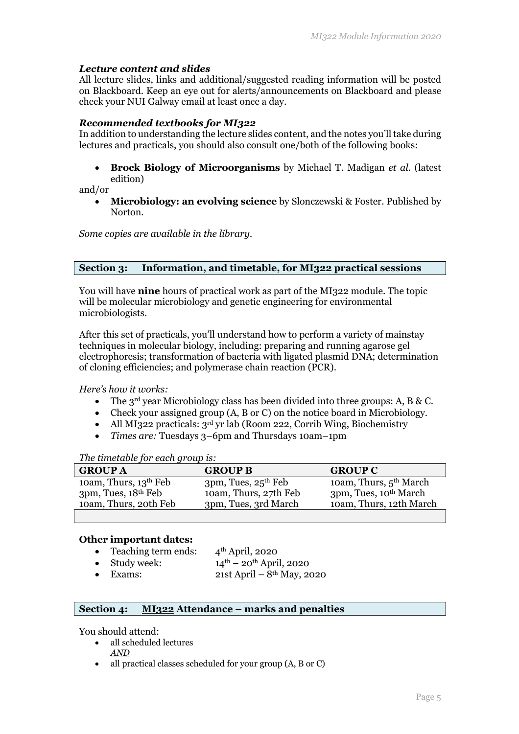### *Lecture content and slides*

All lecture slides, links and additional/suggested reading information will be posted on Blackboard. Keep an eye out for alerts/announcements on Blackboard and please check your NUI Galway email at least once a day.

### *Recommended textbooks for MI322*

In addition to understanding the lecture slides content, and the notes you'll take during lectures and practicals, you should also consult one/both of the following books:

• **Brock Biology of Microorganisms** by Michael T. Madigan *et al.* (latest edition)

and/or

• **Microbiology: an evolving science** by Slonczewski & Foster. Published by Norton.

*Some copies are available in the library.*

### **Section 3: Information, and timetable, for MI322 practical sessions**

You will have **nine** hours of practical work as part of the MI322 module. The topic will be molecular microbiology and genetic engineering for environmental microbiologists.

After this set of practicals, you'll understand how to perform a variety of mainstay techniques in molecular biology, including: preparing and running agarose gel electrophoresis; transformation of bacteria with ligated plasmid DNA; determination of cloning efficiencies; and polymerase chain reaction (PCR).

*Here's how it works:*

- The  $3^{rd}$  year Microbiology class has been divided into three groups: A, B & C.
- Check your assigned group (A, B or C) on the notice board in Microbiology.
- All MI322 practicals:  $3<sup>rd</sup>$  yr lab (Room 222, Corrib Wing, Biochemistry
- *Times are:* Tuesdays 3–6pm and Thursdays 10am–1pm

*The timetable for each group is:*

| <b>GROUP A</b>           | <b>GROUP B</b>           | <b>GROUP C</b>                     |
|--------------------------|--------------------------|------------------------------------|
| 10am, Thurs, $13th$ Feb  | $3pm$ , Tues, $25th$ Feb | 10am, Thurs, 5 <sup>th</sup> March |
| $3pm$ , Tues, $18th$ Feb | 10am, Thurs, 27th Feb    | 3pm, Tues, 10 <sup>th</sup> March  |
| 10am, Thurs, 20th Feb    | 3pm, Tues, 3rd March     | 10am, Thurs, 12th March            |
|                          |                          |                                    |

### **Other important dates:**

| • Teaching term ends: | $4th$ April, 2020                             |
|-----------------------|-----------------------------------------------|
| $\bullet$ Study week: | $14^{\text{th}} - 20^{\text{th}}$ April, 2020 |
| $\bullet$ Exams:      | 21st April – $8^{th}$ May, 2020               |

### **Section 4: MI322 Attendance – marks and penalties**

You should attend:

- all scheduled lectures *AND*
- all practical classes scheduled for your group (A, B or C)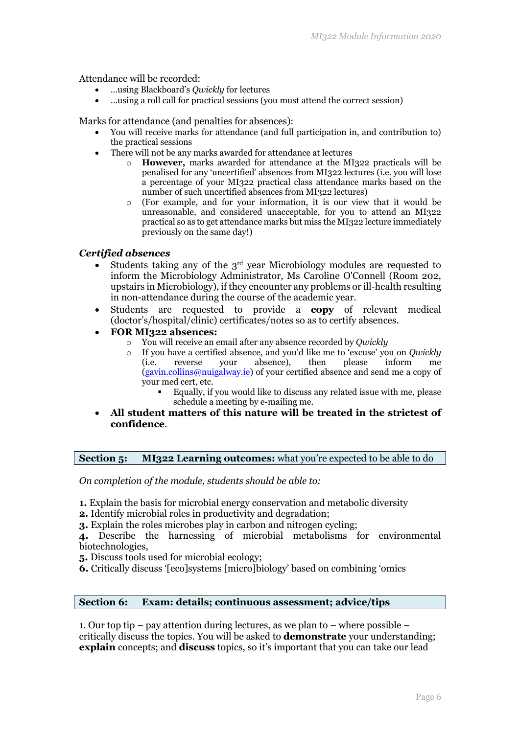Attendance will be recorded:

- …using Blackboard's *Qwickly* for lectures
- …using a roll call for practical sessions (you must attend the correct session)

Marks for attendance (and penalties for absences):

- You will receive marks for attendance (and full participation in, and contribution to) the practical sessions
- There will not be any marks awarded for attendance at lectures
	- o **However,** marks awarded for attendance at the MI322 practicals will be penalised for any 'uncertified' absences from MI322 lectures (i.e. you will lose a percentage of your MI322 practical class attendance marks based on the number of such uncertified absences from MI322 lectures)
	- o (For example, and for your information, it is our view that it would be unreasonable, and considered unacceptable, for you to attend an MI322 practical so as to get attendance marks but miss the MI322 lecture immediately previously on the same day!)

### *Certified absences*

- Students taking any of the 3<sup>rd</sup> year Microbiology modules are requested to inform the Microbiology Administrator, Ms Caroline O'Connell (Room 202, upstairs in Microbiology), if they encounter any problems or ill-health resulting in non-attendance during the course of the academic year.
- Students are requested to provide a **copy** of relevant medical (doctor's/hospital/clinic) certificates/notes so as to certify absences.
- **FOR MI322 absences:**
	- o You will receive an email after any absence recorded by *Qwickly*
	- o If you have a certified absence, and you'd like me to 'excuse' you on *Qwickly*  (i.e. reverse your absence), then please inform me (gavin.collins@nuigalway.ie) of your certified absence and send me a copy of your med cert, etc.
		- § Equally, if you would like to discuss any related issue with me, please schedule a meeting by e-mailing me.
- **All student matters of this nature will be treated in the strictest of confidence**.

### **Section 5: MI322 Learning outcomes:** what you're expected to be able to do

*On completion of the module, students should be able to:*

- **1.** Explain the basis for microbial energy conservation and metabolic diversity
- **2.** Identify microbial roles in productivity and degradation;

**3.** Explain the roles microbes play in carbon and nitrogen cycling;

**4.** Describe the harnessing of microbial metabolisms for environmental biotechnologies,

- **5.** Discuss tools used for microbial ecology;
- **6.** Critically discuss '[eco]systems [micro]biology' based on combining 'omics

### **Section 6: Exam: details; continuous assessment; advice/tips**

1. Our top tip – pay attention during lectures, as we plan to – where possible – critically discuss the topics. You will be asked to **demonstrate** your understanding; **explain** concepts; and **discuss** topics, so it's important that you can take our lead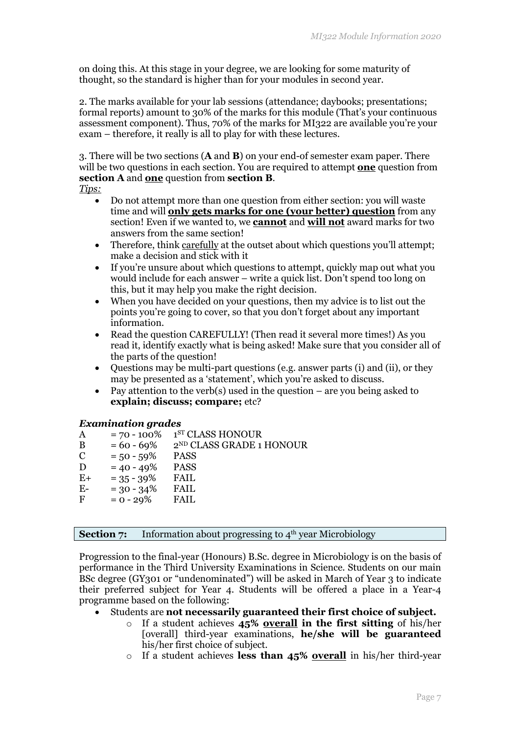on doing this. At this stage in your degree, we are looking for some maturity of thought, so the standard is higher than for your modules in second year.

2. The marks available for your lab sessions (attendance; daybooks; presentations; formal reports) amount to 30% of the marks for this module (That's your continuous assessment component). Thus, 70% of the marks for MI322 are available you're your exam – therefore, it really is all to play for with these lectures.

3. There will be two sections (**A** and **B**) on your end-of semester exam paper. There will be two questions in each section. You are required to attempt **one** question from **section A** and **one** question from **section B**.

- *Tips:*
	- Do not attempt more than one question from either section: you will waste time and will **only gets marks for one (your better) question** from any section! Even if we wanted to, we **cannot** and **will not** award marks for two answers from the same section!
	- Therefore, think carefully at the outset about which questions you'll attempt; make a decision and stick with it
	- If you're unsure about which questions to attempt, quickly map out what you would include for each answer – write a quick list. Don't spend too long on this, but it may help you make the right decision.
	- When you have decided on your questions, then my advice is to list out the points you're going to cover, so that you don't forget about any important information.
	- Read the question CAREFULLY! (Then read it several more times!) As you read it, identify exactly what is being asked! Make sure that you consider all of the parts of the question!
	- Questions may be multi-part questions (e.g. answer parts (i) and (ii), or they may be presented as a 'statement', which you're asked to discuss.
	- Pay attention to the verb(s) used in the question are you being asked to **explain; discuss; compare;** etc?

### *Examination grades*

| Α           | $= 70 - 100\%$ | 1 <sup>ST</sup> CLASS HONOUR         |
|-------------|----------------|--------------------------------------|
| B           | $= 60 - 69\%$  | 2 <sup>ND</sup> CLASS GRADE 1 HONOUR |
| $\mathbf C$ | $= 50 - 59\%$  | <b>PASS</b>                          |
| D           | $= 40 - 49\%$  | <b>PASS</b>                          |
| $E+$        | $= 35 - 39\%$  | <b>FAIL</b>                          |
| $E-$        | $= 30 - 34\%$  | <b>FAIL</b>                          |
| F           | $= 0 - 29%$    | <b>FAIL</b>                          |
|             |                |                                      |

**Section 7:** Information about progressing to 4<sup>th</sup> year Microbiology

Progression to the final-year (Honours) B.Sc. degree in Microbiology is on the basis of performance in the Third University Examinations in Science. Students on our main BSc degree (GY301 or "undenominated") will be asked in March of Year 3 to indicate their preferred subject for Year 4. Students will be offered a place in a Year-4 programme based on the following:

### • Students are **not necessarily guaranteed their first choice of subject.**

- o If a student achieves **45% overall in the first sitting** of his/her [overall] third-year examinations, **he/she will be guaranteed** his/her first choice of subject.
- o If a student achieves **less than 45% overall** in his/her third-year